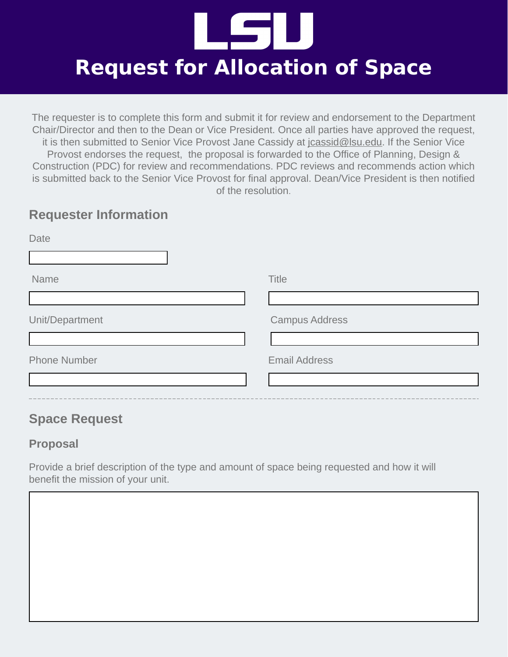

The requester is to complete this form and submit it for review and endorsement to the Department Chair/Director and then to the Dean or Vice President. Once all parties have approved the request, it is then submitted to Senior Vice Provost Jane Cassidy at jcassid@lsu.edu. If the Senior Vice Provost endorses the request, the proposal is forwarded to the Office of Planning, Design & Construction (PDC) for review and recommendations. PDC reviews and recommends action which is submitted back to the Senior Vice Provost for final approval. Dean/Vice President is then notified of the resolution.

### **Requester Information**

| Date                |                       |
|---------------------|-----------------------|
|                     |                       |
| Name                | <b>Title</b>          |
|                     |                       |
| Unit/Department     | <b>Campus Address</b> |
|                     |                       |
| <b>Phone Number</b> | <b>Email Address</b>  |
|                     |                       |
|                     |                       |

## **Space Request**

### **Proposal**

Provide a brief description of the type and amount of space being requested and how it will benefit the mission of your unit.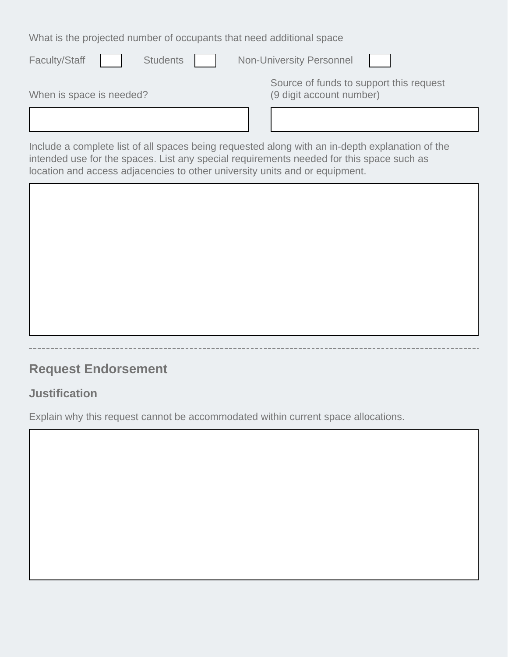What is the projected number of occupants that need additional space

| <b>Faculty/Staff</b><br><b>Students</b> | <b>Non-University Personnel</b>                                                                 |
|-----------------------------------------|-------------------------------------------------------------------------------------------------|
| When is space is needed?                | Source of funds to support this request<br>(9 digit account number)                             |
|                                         |                                                                                                 |
|                                         | Include a complete list of all spaces being requested along with an in-depth explanation of the |

Include a complete list of all spaces being requested along with an in-depth explanation of the intended use for the spaces. List any special requirements needed for this space such as location and access adjacencies to other university units and or equipment.

# **Request Endorsement**

### **Justification**

Explain why this request cannot be accommodated within current space allocations.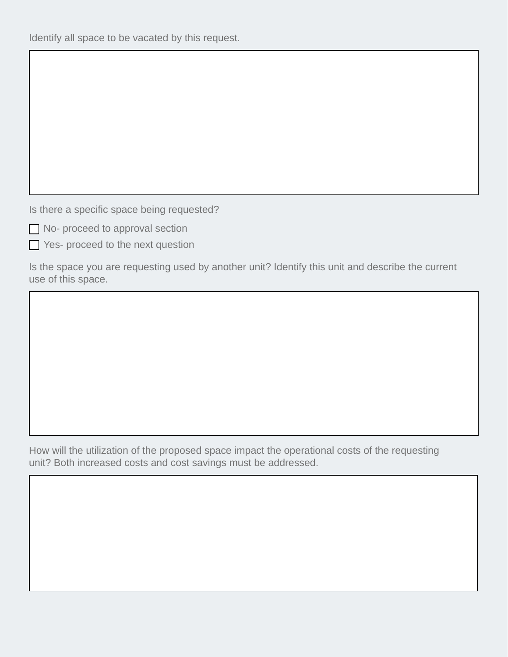Identify all space to be vacated by this request.

Is there a specific space being requested?

No- proceed to approval section

Yes- proceed to the next question

Is the space you are requesting used by another unit? Identify this unit and describe the current use of this space.

How will the utilization of the proposed space impact the operational costs of the requesting unit? Both increased costs and cost savings must be addressed.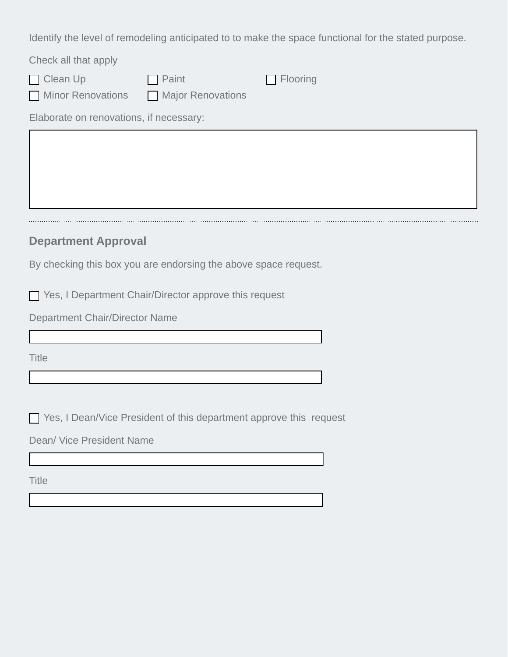Identify the level of remodeling anticipated to to make the space functional for the stated purpose.

| Check all that apply                    |                   |                 |  |  |
|-----------------------------------------|-------------------|-----------------|--|--|
| $\Box$ Clean Up                         | $\Box$ Paint      | $\Box$ Flooring |  |  |
| Minor Renovations                       | Major Renovations |                 |  |  |
| Elaborate on renovations, if necessary: |                   |                 |  |  |
|                                         |                   |                 |  |  |

#### **Department Approval**

By checking this box you are endorsing the above space request.

Yes, I Department Chair/Director approve this request

Department Chair/Director Name

**Title** 

Yes, I Dean/Vice President of this department approve this request

Dean/ Vice President Name

**Title**